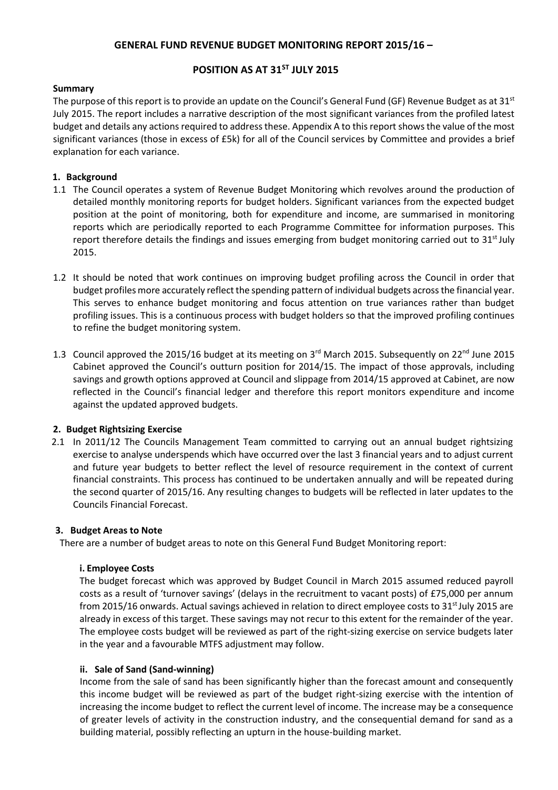### **GENERAL FUND REVENUE BUDGET MONITORING REPORT 2015/16 –**

## **POSITION AS AT 31ST JULY 2015**

#### **Summary**

The purpose of this report is to provide an update on the Council's General Fund (GF) Revenue Budget as at 31 $^{\rm st}$ July 2015. The report includes a narrative description of the most significant variances from the profiled latest budget and details any actions required to address these. Appendix A to this report showsthe value of the most significant variances (those in excess of £5k) for all of the Council services by Committee and provides a brief explanation for each variance.

#### **1. Background**

- 1.1 The Council operates a system of Revenue Budget Monitoring which revolves around the production of detailed monthly monitoring reports for budget holders. Significant variances from the expected budget position at the point of monitoring, both for expenditure and income, are summarised in monitoring reports which are periodically reported to each Programme Committee for information purposes. This report therefore details the findings and issues emerging from budget monitoring carried out to 31<sup>st</sup> July 2015.
- 1.2 It should be noted that work continues on improving budget profiling across the Council in order that budget profiles more accurately reflect the spending pattern of individual budgets across the financial year. This serves to enhance budget monitoring and focus attention on true variances rather than budget profiling issues. This is a continuous process with budget holders so that the improved profiling continues to refine the budget monitoring system.
- 1.3 Council approved the 2015/16 budget at its meeting on  $3^{rd}$  March 2015. Subsequently on 22<sup>nd</sup> June 2015 Cabinet approved the Council's outturn position for 2014/15. The impact of those approvals, including savings and growth options approved at Council and slippage from 2014/15 approved at Cabinet, are now reflected in the Council's financial ledger and therefore this report monitors expenditure and income against the updated approved budgets.

#### **2. Budget Rightsizing Exercise**

 2.1 In 2011/12 The Councils Management Team committed to carrying out an annual budget rightsizing exercise to analyse underspends which have occurred over the last 3 financial years and to adjust current and future year budgets to better reflect the level of resource requirement in the context of current financial constraints. This process has continued to be undertaken annually and will be repeated during the second quarter of 2015/16. Any resulting changes to budgets will be reflected in later updates to the Councils Financial Forecast.

#### **3. Budget Areas to Note**

There are a number of budget areas to note on this General Fund Budget Monitoring report:

#### **i. Employee Costs**

The budget forecast which was approved by Budget Council in March 2015 assumed reduced payroll costs as a result of 'turnover savings' (delays in the recruitment to vacant posts) of £75,000 per annum from 2015/16 onwards. Actual savings achieved in relation to direct employee costs to 31<sup>st</sup> July 2015 are already in excess of this target. These savings may not recur to this extent for the remainder of the year. The employee costs budget will be reviewed as part of the right-sizing exercise on service budgets later in the year and a favourable MTFS adjustment may follow.

#### **ii. Sale of Sand (Sand-winning)**

Income from the sale of sand has been significantly higher than the forecast amount and consequently this income budget will be reviewed as part of the budget right-sizing exercise with the intention of increasing the income budget to reflect the current level of income. The increase may be a consequence of greater levels of activity in the construction industry, and the consequential demand for sand as a building material, possibly reflecting an upturn in the house-building market.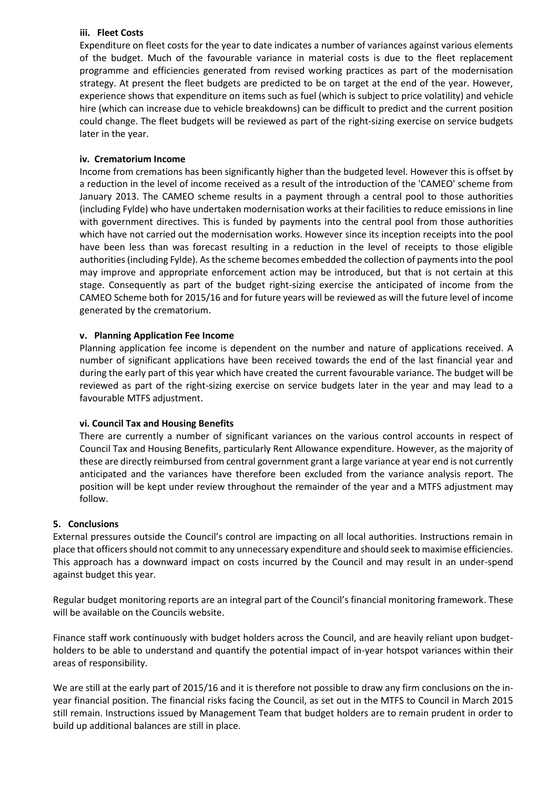#### **iii. Fleet Costs**

Expenditure on fleet costs for the year to date indicates a number of variances against various elements of the budget. Much of the favourable variance in material costs is due to the fleet replacement programme and efficiencies generated from revised working practices as part of the modernisation strategy. At present the fleet budgets are predicted to be on target at the end of the year. However, experience shows that expenditure on items such as fuel (which is subject to price volatility) and vehicle hire (which can increase due to vehicle breakdowns) can be difficult to predict and the current position could change. The fleet budgets will be reviewed as part of the right-sizing exercise on service budgets later in the year.

#### **iv. Crematorium Income**

Income from cremations has been significantly higher than the budgeted level. However this is offset by a reduction in the level of income received as a result of the introduction of the 'CAMEO' scheme from January 2013. The CAMEO scheme results in a payment through a central pool to those authorities (including Fylde) who have undertaken modernisation works at their facilities to reduce emissions in line with government directives. This is funded by payments into the central pool from those authorities which have not carried out the modernisation works. However since its inception receipts into the pool have been less than was forecast resulting in a reduction in the level of receipts to those eligible authorities (including Fylde). As the scheme becomes embedded the collection of payments into the pool may improve and appropriate enforcement action may be introduced, but that is not certain at this stage. Consequently as part of the budget right-sizing exercise the anticipated of income from the CAMEO Scheme both for 2015/16 and for future years will be reviewed as will the future level of income generated by the crematorium.

#### **v. Planning Application Fee Income**

Planning application fee income is dependent on the number and nature of applications received. A number of significant applications have been received towards the end of the last financial year and during the early part of this year which have created the current favourable variance. The budget will be reviewed as part of the right-sizing exercise on service budgets later in the year and may lead to a favourable MTFS adjustment.

#### **vi. Council Tax and Housing Benefits**

There are currently a number of significant variances on the various control accounts in respect of Council Tax and Housing Benefits, particularly Rent Allowance expenditure. However, as the majority of these are directly reimbursed from central government grant a large variance at year end is not currently anticipated and the variances have therefore been excluded from the variance analysis report. The position will be kept under review throughout the remainder of the year and a MTFS adjustment may follow.

#### **5. Conclusions**

External pressures outside the Council's control are impacting on all local authorities. Instructions remain in place that officers should not commit to any unnecessary expenditure and should seek to maximise efficiencies. This approach has a downward impact on costs incurred by the Council and may result in an under-spend against budget this year.

Regular budget monitoring reports are an integral part of the Council's financial monitoring framework. These will be available on the Councils website.

Finance staff work continuously with budget holders across the Council, and are heavily reliant upon budgetholders to be able to understand and quantify the potential impact of in-year hotspot variances within their areas of responsibility.

We are still at the early part of 2015/16 and it is therefore not possible to draw any firm conclusions on the inyear financial position. The financial risks facing the Council, as set out in the MTFS to Council in March 2015 still remain. Instructions issued by Management Team that budget holders are to remain prudent in order to build up additional balances are still in place.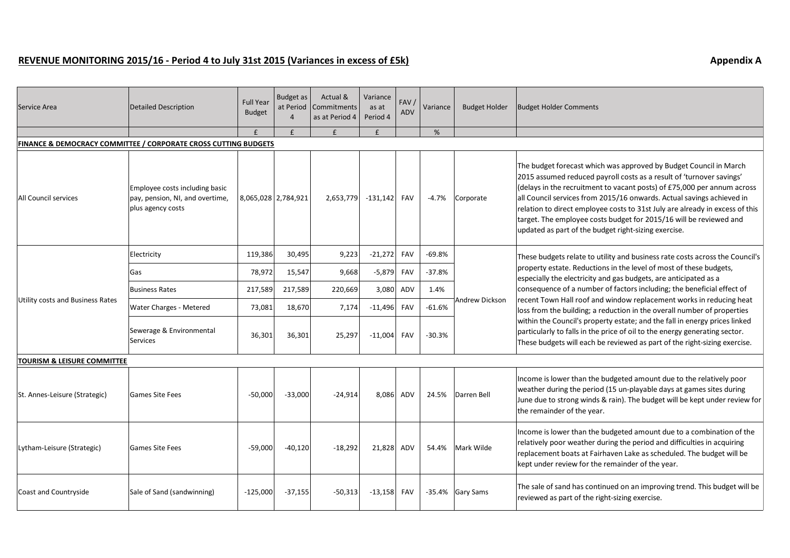## **REVENUE MONITORING 2015/16 - Period 4 to July 31st 2015 (Variances in excess of £5k) Appendix A**

| Service Area                                                    | Detailed Description                                                                   | <b>Full Year</b><br><b>Budget</b> | <b>Budget as</b><br>at Period<br>$\overline{4}$ | Actual &<br>Commitments<br>as at Period 4 | Variance<br>as at<br>Period 4 | FAV /<br>ADV | Variance | <b>Budget Holder</b> | <b>Budget Holder Comments</b>                                                                                                                                                                                                                                                                                                                                                                                                                                                                                                                                                                                                                                                               |  |  |
|-----------------------------------------------------------------|----------------------------------------------------------------------------------------|-----------------------------------|-------------------------------------------------|-------------------------------------------|-------------------------------|--------------|----------|----------------------|---------------------------------------------------------------------------------------------------------------------------------------------------------------------------------------------------------------------------------------------------------------------------------------------------------------------------------------------------------------------------------------------------------------------------------------------------------------------------------------------------------------------------------------------------------------------------------------------------------------------------------------------------------------------------------------------|--|--|
|                                                                 |                                                                                        | £                                 | £                                               | $\mathbf{f}$                              | £                             |              | %        |                      |                                                                                                                                                                                                                                                                                                                                                                                                                                                                                                                                                                                                                                                                                             |  |  |
| FINANCE & DEMOCRACY COMMITTEE / CORPORATE CROSS CUTTING BUDGETS |                                                                                        |                                   |                                                 |                                           |                               |              |          |                      |                                                                                                                                                                                                                                                                                                                                                                                                                                                                                                                                                                                                                                                                                             |  |  |
| All Council services                                            | Employee costs including basic<br>pay, pension, NI, and overtime,<br>plus agency costs | 8,065,028 2,784,921               |                                                 | 2,653,779                                 | $-131,142$                    | <b>FAV</b>   | $-4.7%$  | Corporate            | The budget forecast which was approved by Budget Council in March<br>2015 assumed reduced payroll costs as a result of 'turnover savings'<br>(delays in the recruitment to vacant posts) of £75,000 per annum across<br>all Council services from 2015/16 onwards. Actual savings achieved in<br>relation to direct employee costs to 31st July are already in excess of this<br>target. The employee costs budget for 2015/16 will be reviewed and<br>updated as part of the budget right-sizing exercise.                                                                                                                                                                                 |  |  |
| Utility costs and Business Rates                                | Electricity                                                                            | 119,386                           | 30,495                                          | 9,223                                     | $-21,272$                     | FAV          | $-69.8%$ | Andrew Dickson       | These budgets relate to utility and business rate costs across the Council's<br>property estate. Reductions in the level of most of these budgets,<br>especially the electricity and gas budgets, are anticipated as a<br>consequence of a number of factors including; the beneficial effect of<br>recent Town Hall roof and window replacement works in reducing heat<br>loss from the building; a reduction in the overall number of properties<br>within the Council's property estate; and the fall in energy prices linked<br>particularly to falls in the price of oil to the energy generating sector.<br>These budgets will each be reviewed as part of the right-sizing exercise. |  |  |
|                                                                 | Gas                                                                                    | 78,972                            | 15,547                                          | 9,668                                     | $-5,879$                      | FAV          | $-37.8%$ |                      |                                                                                                                                                                                                                                                                                                                                                                                                                                                                                                                                                                                                                                                                                             |  |  |
|                                                                 | Business Rates                                                                         | 217,589                           | 217,589                                         | 220,669                                   | 3,080                         | ADV          | 1.4%     |                      |                                                                                                                                                                                                                                                                                                                                                                                                                                                                                                                                                                                                                                                                                             |  |  |
|                                                                 | <b>Water Charges - Metered</b>                                                         | 73,081                            | 18,670                                          | 7,174                                     | $-11,496$                     | FAV          | $-61.6%$ |                      |                                                                                                                                                                                                                                                                                                                                                                                                                                                                                                                                                                                                                                                                                             |  |  |
|                                                                 | Sewerage & Environmental<br>Services                                                   | 36,301                            | 36,301                                          | 25,297                                    | $-11,004$                     | FAV          | $-30.3%$ |                      |                                                                                                                                                                                                                                                                                                                                                                                                                                                                                                                                                                                                                                                                                             |  |  |
| TOURISM & LEISURE COMMITTEE                                     |                                                                                        |                                   |                                                 |                                           |                               |              |          |                      |                                                                                                                                                                                                                                                                                                                                                                                                                                                                                                                                                                                                                                                                                             |  |  |
| St. Annes-Leisure (Strategic)                                   | <b>Games Site Fees</b>                                                                 | $-50,000$                         | $-33,000$                                       | $-24,914$                                 | 8,086                         | ADV          | 24.5%    | Darren Bell          | Income is lower than the budgeted amount due to the relatively poor<br>weather during the period (15 un-playable days at games sites during<br>June due to strong winds & rain). The budget will be kept under review for<br>the remainder of the year.                                                                                                                                                                                                                                                                                                                                                                                                                                     |  |  |
| Lytham-Leisure (Strategic)                                      | <b>Games Site Fees</b>                                                                 | $-59,000$                         | $-40,120$                                       | $-18,292$                                 | 21,828                        | ADV          | 54.4%    | Mark Wilde           | Income is lower than the budgeted amount due to a combination of the<br>relatively poor weather during the period and difficulties in acquiring<br>replacement boats at Fairhaven Lake as scheduled. The budget will be<br>kept under review for the remainder of the year.                                                                                                                                                                                                                                                                                                                                                                                                                 |  |  |
| Coast and Countryside                                           | Sale of Sand (sandwinning)                                                             | $-125,000$                        | $-37,155$                                       | $-50,313$                                 | $-13,158$ FAV                 |              |          | -35.4% Gary Sams     | The sale of sand has continued on an improving trend. This budget will be<br>reviewed as part of the right-sizing exercise.                                                                                                                                                                                                                                                                                                                                                                                                                                                                                                                                                                 |  |  |